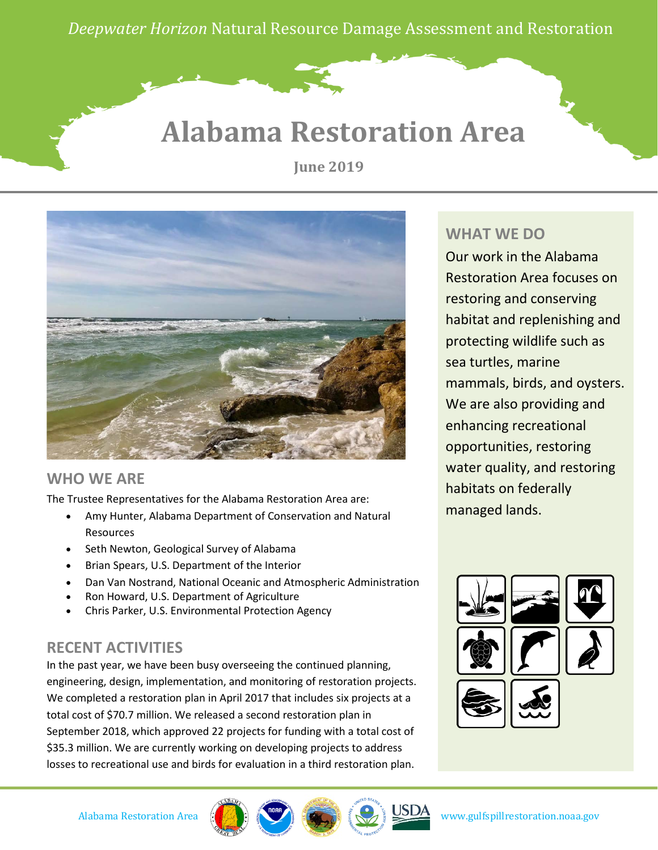*Deepwater Horizon* Natural Resource Damage Assessment and Restoration

## **Alabama Restoration Area**

**June 2019**



### **WHO WE ARE**

The Trustee Representatives for the Alabama Restoration Area are:

- Amy Hunter, Alabama Department of Conservation and Natural Resources
- Seth Newton, Geological Survey of Alabama
- Brian Spears, U.S. Department of the Interior
- Dan Van Nostrand, National Oceanic and Atmospheric Administration
- Ron Howard, U.S. Department of Agriculture
- Chris Parker, U.S. Environmental Protection Agency

### **RECENT ACTIVITIES**

In the past year, we have been busy overseeing the continued planning, engineering, design, implementation, and monitoring of restoration projects. We completed a restoration plan in April 2017 that includes six projects at a total cost of \$70.7 million. We released a second restoration plan in September 2018, which approved 22 projects for funding with a total cost of \$35.3 million. We are currently working on developing projects to address losses to recreational use and birds for evaluation in a third restoration plan.

### **WHAT WE DO**

Our work in the Alabama Restoration Area focuses on restoring and conserving habitat and replenishing and protecting wildlife such as sea turtles, marine mammals, birds, and oysters. We are also providing and enhancing recreational opportunities, restoring water quality, and restoring habitats on federally managed lands.





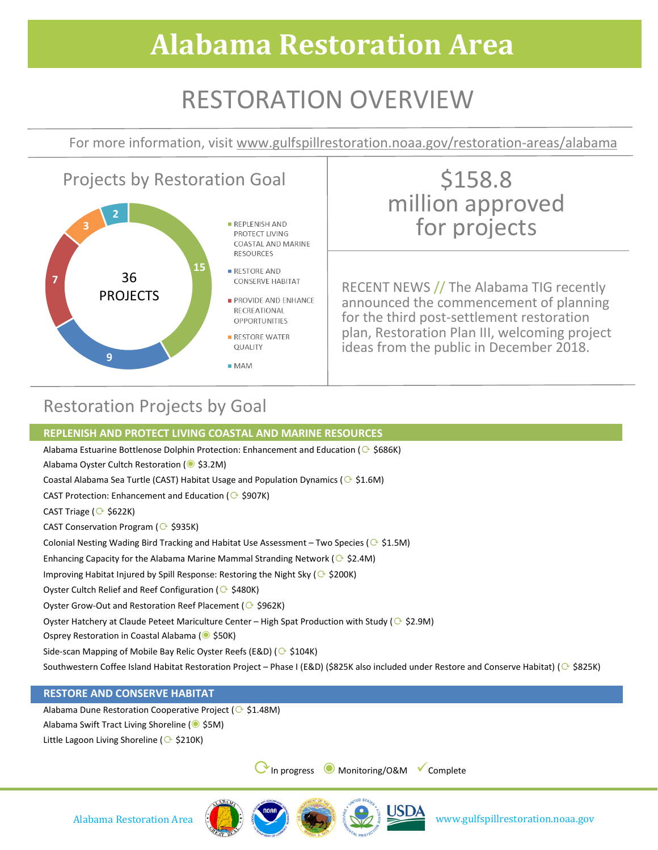# **Alabama Restoration Area**

## RESTORATION OVERVIEW

For more information, visit www.gulfspillrestoration.noaa.gov/restoration-areas/alabama



### Restoration Projects by Goal

#### **REPLENISH AND PROTECT LIVING COASTAL AND MARINE RESOURCES**

Alabama Estuarine Bottlenose Dolphin Protection: Enhancement and Education ( $\odot$  \$686K)

Alabama Oyster Cultch Restoration (◉ \$3.2M)

Coastal Alabama Sea Turtle (CAST) Habitat Usage and Population Dynamics ( $\odot$  \$1.6M)

CAST Protection: Enhancement and Education ( $\odot$  \$907K)

CAST Triage ( $\odot$  \$622K)

CAST Conservation Program ( $\odot$  \$935K)

Colonial Nesting Wading Bird Tracking and Habitat Use Assessment – Two Species ( $\odot$  \$1.5M)

Enhancing Capacity for the Alabama Marine Mammal Stranding Network ( $\odot$  \$2.4M)

Improving Habitat Injured by Spill Response: Restoring the Night Sky ( $\odot$  \$200K)

Oyster Cultch Relief and Reef Configuration ( $\odot$  \$480K)

Oyster Grow-Out and Restoration Reef Placement ( $\odot$  \$962K)

Oyster Hatchery at Claude Peteet Mariculture Center – High Spat Production with Study ( $\odot$  \$2.9M)

Osprey Restoration in Coastal Alabama (◉ \$50K)

Side-scan Mapping of Mobile Bay Relic Oyster Reefs (E&D) ( $\odot$  \$104K)

Southwestern Coffee Island Habitat Restoration Project – Phase I (E&D) (\$825K also included under Restore and Conserve Habitat) ( $\odot$  \$825K)

#### **RESTORE AND CONSERVE HABITAT**

Alabama Dune Restoration Cooperative Project ( $\odot$  \$1.48M) Alabama Swift Tract Living Shoreline (◉ \$5M) Little Lagoon Living Shoreline ( $\odot$  \$210K)

⟳In progress ◉ Monitoring/O&M Complete